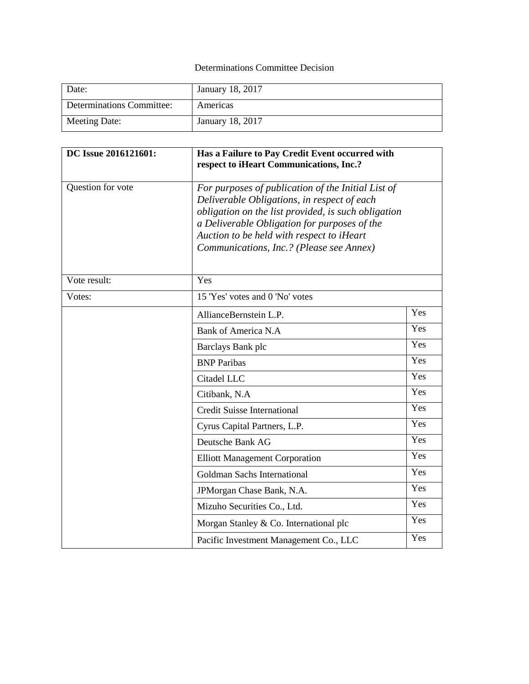## Determinations Committee Decision

| Date:                     | January 18, 2017 |
|---------------------------|------------------|
| Determinations Committee: | Americas         |
| Meeting Date:             | January 18, 2017 |

| DC Issue 2016121601: | Has a Failure to Pay Credit Event occurred with<br>respect to iHeart Communications, Inc.?                                                                                                                                                                                                        |     |  |
|----------------------|---------------------------------------------------------------------------------------------------------------------------------------------------------------------------------------------------------------------------------------------------------------------------------------------------|-----|--|
| Question for vote    | For purposes of publication of the Initial List of<br>Deliverable Obligations, in respect of each<br>obligation on the list provided, is such obligation<br>a Deliverable Obligation for purposes of the<br>Auction to be held with respect to iHeart<br>Communications, Inc.? (Please see Annex) |     |  |
| Vote result:         | Yes                                                                                                                                                                                                                                                                                               |     |  |
| Votes:               | 15 'Yes' votes and 0 'No' votes                                                                                                                                                                                                                                                                   |     |  |
|                      | AllianceBernstein L.P.                                                                                                                                                                                                                                                                            | Yes |  |
|                      | Bank of America N.A                                                                                                                                                                                                                                                                               | Yes |  |
|                      | Barclays Bank plc                                                                                                                                                                                                                                                                                 | Yes |  |
|                      | <b>BNP</b> Paribas                                                                                                                                                                                                                                                                                | Yes |  |
|                      | Citadel LLC                                                                                                                                                                                                                                                                                       | Yes |  |
|                      | Citibank, N.A                                                                                                                                                                                                                                                                                     | Yes |  |
|                      | <b>Credit Suisse International</b>                                                                                                                                                                                                                                                                | Yes |  |
|                      | Cyrus Capital Partners, L.P.                                                                                                                                                                                                                                                                      | Yes |  |
|                      | Deutsche Bank AG                                                                                                                                                                                                                                                                                  | Yes |  |
|                      | <b>Elliott Management Corporation</b>                                                                                                                                                                                                                                                             | Yes |  |
|                      | Goldman Sachs International                                                                                                                                                                                                                                                                       | Yes |  |
|                      | JPMorgan Chase Bank, N.A.                                                                                                                                                                                                                                                                         | Yes |  |
|                      | Mizuho Securities Co., Ltd.                                                                                                                                                                                                                                                                       | Yes |  |
|                      | Morgan Stanley & Co. International plc                                                                                                                                                                                                                                                            | Yes |  |
|                      | Pacific Investment Management Co., LLC                                                                                                                                                                                                                                                            | Yes |  |